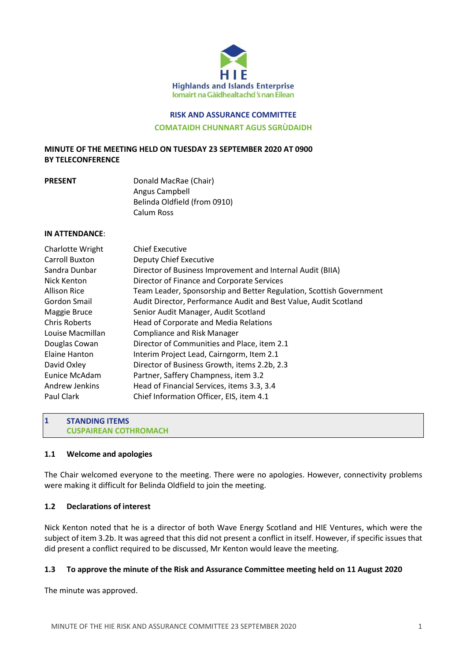

# **RISK AND ASSURANCE COMMITTEE COMATAIDH CHUNNART AGUS SGRÙDAIDH**

## **MINUTE OF THE MEETING HELD ON TUESDAY 23 SEPTEMBER 2020 AT 0900 BY TELECONFERENCE**

| <b>PRESENT</b> | Donald MacRae (Chair)        |
|----------------|------------------------------|
|                | Angus Campbell               |
|                | Belinda Oldfield (from 0910) |
|                | Calum Ross                   |

#### **IN ATTENDANCE**:

#### **STANDING ITEMS CUSPAIREAN COTHROMACH**

## **1.1 Welcome and apologies**

**1**

The Chair welcomed everyone to the meeting. There were no apologies. However, connectivity problems were making it difficult for Belinda Oldfield to join the meeting.

## **1.2 Declarations of interest**

Nick Kenton noted that he is a director of both Wave Energy Scotland and HIE Ventures, which were the subject of item 3.2b. It was agreed that this did not present a conflict in itself. However, if specific issues that did present a conflict required to be discussed, Mr Kenton would leave the meeting.

## **1.3 To approve the minute of the Risk and Assurance Committee meeting held on 11 August 2020**

The minute was approved.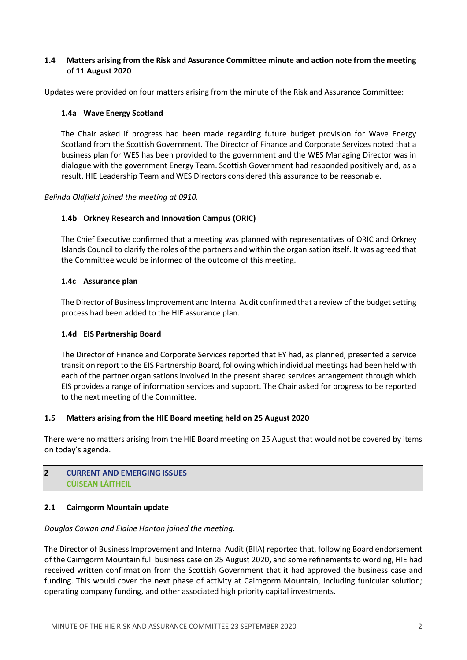## **1.4 Matters arising from the Risk and Assurance Committee minute and action note from the meeting of 11 August 2020**

Updates were provided on four matters arising from the minute of the Risk and Assurance Committee:

## **1.4a Wave Energy Scotland**

The Chair asked if progress had been made regarding future budget provision for Wave Energy Scotland from the Scottish Government. The Director of Finance and Corporate Services noted that a business plan for WES has been provided to the government and the WES Managing Director was in dialogue with the government Energy Team. Scottish Government had responded positively and, as a result, HIE Leadership Team and WES Directors considered this assurance to be reasonable.

*Belinda Oldfield joined the meeting at 0910.*

## **1.4b Orkney Research and Innovation Campus (ORIC)**

The Chief Executive confirmed that a meeting was planned with representatives of ORIC and Orkney Islands Council to clarify the roles of the partners and within the organisation itself. It was agreed that the Committee would be informed of the outcome of this meeting.

## **1.4c Assurance plan**

The Director of Business Improvement and Internal Audit confirmed that a review of the budget setting process had been added to the HIE assurance plan.

## **1.4d EIS Partnership Board**

The Director of Finance and Corporate Services reported that EY had, as planned, presented a service transition report to the EIS Partnership Board, following which individual meetings had been held with each of the partner organisations involved in the present shared services arrangement through which EIS provides a range of information services and support. The Chair asked for progress to be reported to the next meeting of the Committee.

## **1.5 Matters arising from the HIE Board meeting held on 25 August 2020**

There were no matters arising from the HIE Board meeting on 25 August that would not be covered by items on today's agenda.

#### **CURRENT AND EMERGING ISSUES CÙISEAN LÀITHEIL 2**

## **2.1 Cairngorm Mountain update**

## *Douglas Cowan and Elaine Hanton joined the meeting.*

The Director of Business Improvement and Internal Audit (BIIA) reported that, following Board endorsement of the Cairngorm Mountain full business case on 25 August 2020, and some refinements to wording, HIE had received written confirmation from the Scottish Government that it had approved the business case and funding. This would cover the next phase of activity at Cairngorm Mountain, including funicular solution; operating company funding, and other associated high priority capital investments.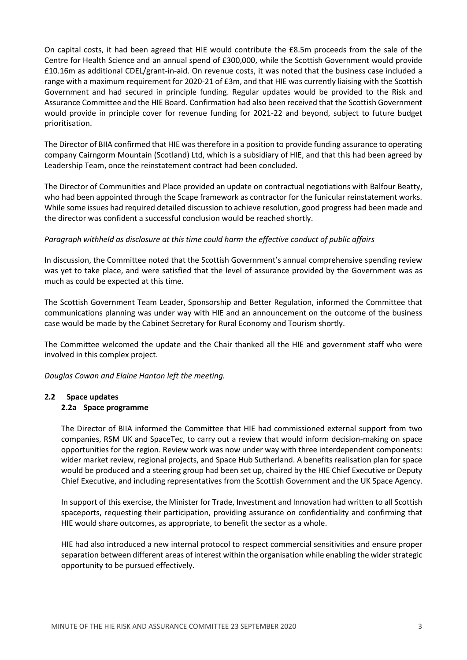On capital costs, it had been agreed that HIE would contribute the £8.5m proceeds from the sale of the Centre for Health Science and an annual spend of £300,000, while the Scottish Government would provide £10.16m as additional CDEL/grant-in-aid. On revenue costs, it was noted that the business case included a range with a maximum requirement for 2020-21 of £3m, and that HIE was currently liaising with the Scottish Government and had secured in principle funding. Regular updates would be provided to the Risk and Assurance Committee and the HIE Board. Confirmation had also been received that the Scottish Government would provide in principle cover for revenue funding for 2021-22 and beyond, subject to future budget prioritisation.

The Director of BIIA confirmed that HIE was therefore in a position to provide funding assurance to operating company Cairngorm Mountain (Scotland) Ltd, which is a subsidiary of HIE, and that this had been agreed by Leadership Team, once the reinstatement contract had been concluded.

The Director of Communities and Place provided an update on contractual negotiations with Balfour Beatty, who had been appointed through the Scape framework as contractor for the funicular reinstatement works. While some issues had required detailed discussion to achieve resolution, good progress had been made and the director was confident a successful conclusion would be reached shortly.

## *Paragraph withheld as disclosure at this time could harm the effective conduct of public affairs*

In discussion, the Committee noted that the Scottish Government's annual comprehensive spending review was yet to take place, and were satisfied that the level of assurance provided by the Government was as much as could be expected at this time.

The Scottish Government Team Leader, Sponsorship and Better Regulation, informed the Committee that communications planning was under way with HIE and an announcement on the outcome of the business case would be made by the Cabinet Secretary for Rural Economy and Tourism shortly.

The Committee welcomed the update and the Chair thanked all the HIE and government staff who were involved in this complex project.

*Douglas Cowan and Elaine Hanton left the meeting.*

# **2.2 Space updates**

## **2.2a Space programme**

The Director of BIIA informed the Committee that HIE had commissioned external support from two companies, RSM UK and SpaceTec, to carry out a review that would inform decision-making on space opportunities for the region. Review work was now under way with three interdependent components: wider market review, regional projects, and Space Hub Sutherland. A benefits realisation plan for space would be produced and a steering group had been set up, chaired by the HIE Chief Executive or Deputy Chief Executive, and including representatives from the Scottish Government and the UK Space Agency.

In support of this exercise, the Minister for Trade, Investment and Innovation had written to all Scottish spaceports, requesting their participation, providing assurance on confidentiality and confirming that HIE would share outcomes, as appropriate, to benefit the sector as a whole.

HIE had also introduced a new internal protocol to respect commercial sensitivities and ensure proper separation between different areas of interest within the organisation while enabling the wider strategic opportunity to be pursued effectively.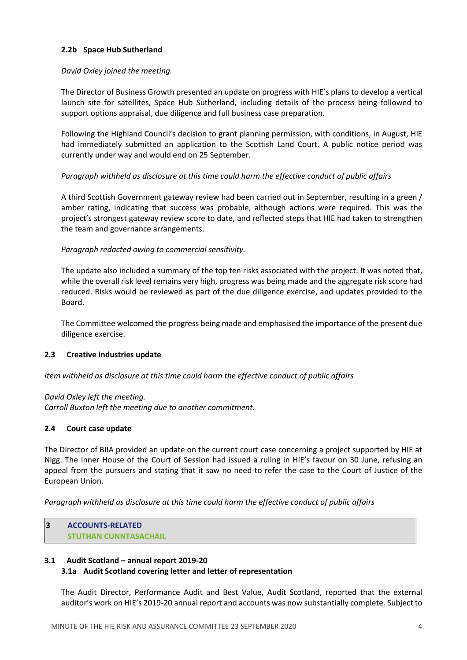## **2.2b Space Hub Sutherland**

## *David Oxley joined the meeting.*

The Director of Business Growth presented an update on progress with HIE's plans to develop a vertical launch site for satellites, Space Hub Sutherland, including details of the process being followed to support options appraisal, due diligence and full business case preparation.

Following the Highland Council's decision to grant planning permission, with conditions, in August, HIE had immediately submitted an application to the Scottish Land Court. A public notice period was currently under way and would end on 25 September.

## *Paragraph withheld as disclosure at this time could harm the effective conduct of public affairs*

A third Scottish Government gateway review had been carried out in September, resulting in a green / amber rating, indicating that success was probable, although actions were required. This was the project's strongest gateway review score to date, and reflected steps that HIE had taken to strengthen the team and governance arrangements.

## *Paragraph redacted owing to commercial sensitivity.*

The update also included a summary of the top ten risks associated with the project. It was noted that, while the overall risk level remains very high, progress was being made and the aggregate risk score had reduced. Risks would be reviewed as part of the due diligence exercise, and updates provided to the Board.

The Committee welcomed the progress being made and emphasised the importance of the present due diligence exercise.

## **2.3 Creative industries update**

*Item withheld as disclosure at this time could harm the effective conduct of public affairs*

## *David Oxley left the meeting.*

*Carroll Buxton left the meeting due to another commitment.*

## **2.4 Court case update**

The Director of BIIA provided an update on the current court case concerning a project supported by HIE at Nigg. The Inner House of the Court of Session had issued a ruling in HIE's favour on 30 June, refusing an appeal from the pursuers and stating that it saw no need to refer the case to the Court of Justice of the European Union.

*Paragraph withheld as disclosure at this time could harm the effective conduct of public affairs*

**ACCOUNTS-RELATED STUTHAN CUNNTASACHAIL 3**

## **3.1 Audit Scotland – annual report 2019-20**

## **3.1a Audit Scotland covering letter and letter of representation**

The Audit Director, Performance Audit and Best Value, Audit Scotland, reported that the external auditor's work on HIE's 2019-20 annual report and accounts was now substantially complete. Subject to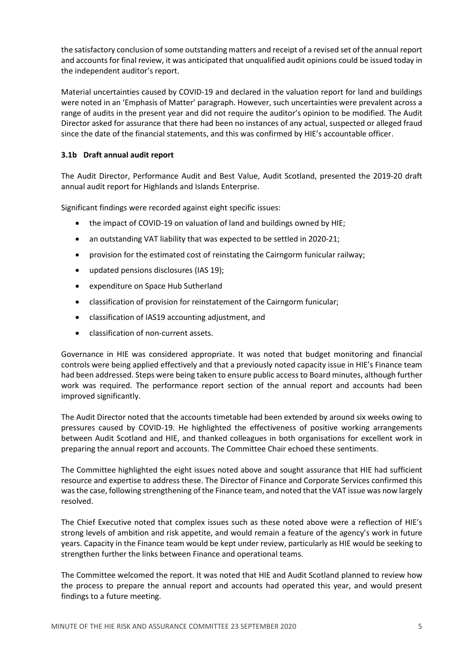the satisfactory conclusion of some outstanding matters and receipt of a revised set of the annual report and accounts for final review, it was anticipated that unqualified audit opinions could be issued today in the independent auditor's report.

Material uncertainties caused by COVID-19 and declared in the valuation report for land and buildings were noted in an 'Emphasis of Matter' paragraph. However, such uncertainties were prevalent across a range of audits in the present year and did not require the auditor's opinion to be modified. The Audit Director asked for assurance that there had been no instances of any actual, suspected or alleged fraud since the date of the financial statements, and this was confirmed by HIE's accountable officer.

## **3.1b Draft annual audit report**

The Audit Director, Performance Audit and Best Value, Audit Scotland, presented the 2019-20 draft annual audit report for Highlands and Islands Enterprise.

Significant findings were recorded against eight specific issues:

- the impact of COVID-19 on valuation of land and buildings owned by HIE;
- an outstanding VAT liability that was expected to be settled in 2020-21;
- provision for the estimated cost of reinstating the Cairngorm funicular railway;
- updated pensions disclosures (IAS 19);
- expenditure on Space Hub Sutherland
- classification of provision for reinstatement of the Cairngorm funicular;
- classification of IAS19 accounting adjustment, and
- classification of non-current assets.

Governance in HIE was considered appropriate. It was noted that budget monitoring and financial controls were being applied effectively and that a previously noted capacity issue in HIE's Finance team had been addressed. Steps were being taken to ensure public access to Board minutes, although further work was required. The performance report section of the annual report and accounts had been improved significantly.

The Audit Director noted that the accounts timetable had been extended by around six weeks owing to pressures caused by COVID-19. He highlighted the effectiveness of positive working arrangements between Audit Scotland and HIE, and thanked colleagues in both organisations for excellent work in preparing the annual report and accounts. The Committee Chair echoed these sentiments.

The Committee highlighted the eight issues noted above and sought assurance that HIE had sufficient resource and expertise to address these. The Director of Finance and Corporate Services confirmed this was the case, following strengthening of the Finance team, and noted that the VAT issue was now largely resolved.

The Chief Executive noted that complex issues such as these noted above were a reflection of HIE's strong levels of ambition and risk appetite, and would remain a feature of the agency's work in future years. Capacity in the Finance team would be kept under review, particularly as HIE would be seeking to strengthen further the links between Finance and operational teams.

The Committee welcomed the report. It was noted that HIE and Audit Scotland planned to review how the process to prepare the annual report and accounts had operated this year, and would present findings to a future meeting.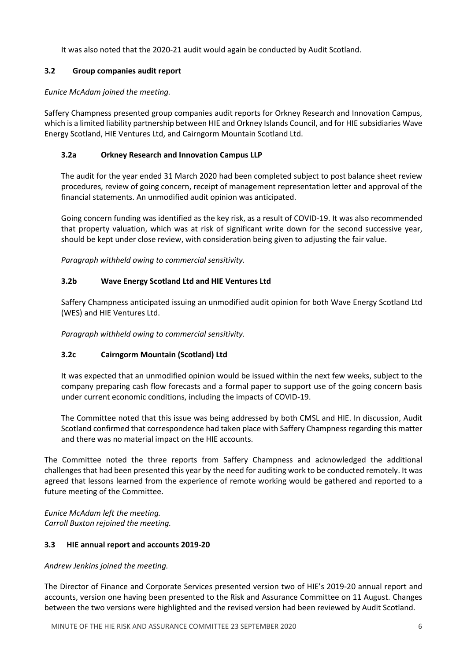It was also noted that the 2020-21 audit would again be conducted by Audit Scotland.

## **3.2 Group companies audit report**

## *Eunice McAdam joined the meeting.*

Saffery Champness presented group companies audit reports for Orkney Research and Innovation Campus, which is a limited liability partnership between HIE and Orkney Islands Council, and for HIE subsidiaries Wave Energy Scotland, HIE Ventures Ltd, and Cairngorm Mountain Scotland Ltd.

## **3.2a Orkney Research and Innovation Campus LLP**

The audit for the year ended 31 March 2020 had been completed subject to post balance sheet review procedures, review of going concern, receipt of management representation letter and approval of the financial statements. An unmodified audit opinion was anticipated.

Going concern funding was identified as the key risk, as a result of COVID-19. It was also recommended that property valuation, which was at risk of significant write down for the second successive year, should be kept under close review, with consideration being given to adjusting the fair value.

*Paragraph withheld owing to commercial sensitivity.*

## **3.2b Wave Energy Scotland Ltd and HIE Ventures Ltd**

Saffery Champness anticipated issuing an unmodified audit opinion for both Wave Energy Scotland Ltd (WES) and HIE Ventures Ltd.

*Paragraph withheld owing to commercial sensitivity.*

## **3.2c Cairngorm Mountain (Scotland) Ltd**

It was expected that an unmodified opinion would be issued within the next few weeks, subject to the company preparing cash flow forecasts and a formal paper to support use of the going concern basis under current economic conditions, including the impacts of COVID-19.

The Committee noted that this issue was being addressed by both CMSL and HIE. In discussion, Audit Scotland confirmed that correspondence had taken place with Saffery Champness regarding this matter and there was no material impact on the HIE accounts.

The Committee noted the three reports from Saffery Champness and acknowledged the additional challenges that had been presented this year by the need for auditing work to be conducted remotely. It was agreed that lessons learned from the experience of remote working would be gathered and reported to a future meeting of the Committee.

*Eunice McAdam left the meeting. Carroll Buxton rejoined the meeting.*

## **3.3 HIE annual report and accounts 2019-20**

*Andrew Jenkins joined the meeting.* 

The Director of Finance and Corporate Services presented version two of HIE's 2019-20 annual report and accounts, version one having been presented to the Risk and Assurance Committee on 11 August. Changes between the two versions were highlighted and the revised version had been reviewed by Audit Scotland.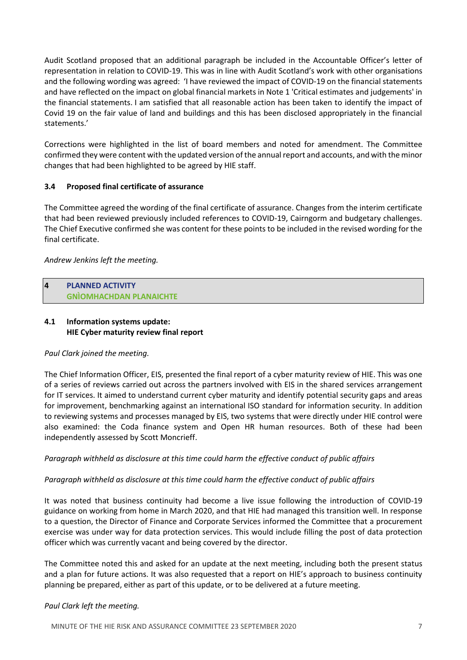Audit Scotland proposed that an additional paragraph be included in the Accountable Officer's letter of representation in relation to COVID-19. This was in line with Audit Scotland's work with other organisations and the following wording was agreed: 'I have reviewed the impact of COVID-19 on the financial statements and have reflected on the impact on global financial markets in Note 1 'Critical estimates and judgements' in the financial statements. I am satisfied that all reasonable action has been taken to identify the impact of Covid 19 on the fair value of land and buildings and this has been disclosed appropriately in the financial statements.'

Corrections were highlighted in the list of board members and noted for amendment. The Committee confirmed they were content with the updated version of the annual report and accounts, and with the minor changes that had been highlighted to be agreed by HIE staff.

## **3.4 Proposed final certificate of assurance**

The Committee agreed the wording of the final certificate of assurance. Changes from the interim certificate that had been reviewed previously included references to COVID-19, Cairngorm and budgetary challenges. The Chief Executive confirmed she was content for these points to be included in the revised wording for the final certificate.

## *Andrew Jenkins left the meeting.*

#### **PLANNED ACTIVITY GNÌOMHACHDAN PLANAICHTE 4**

## **4.1 Information systems update: HIE Cyber maturity review final report**

## *Paul Clark joined the meeting.*

The Chief Information Officer, EIS, presented the final report of a cyber maturity review of HIE. This was one of a series of reviews carried out across the partners involved with EIS in the shared services arrangement for IT services. It aimed to understand current cyber maturity and identify potential security gaps and areas for improvement, benchmarking against an international ISO standard for information security. In addition to reviewing systems and processes managed by EIS, two systems that were directly under HIE control were also examined: the Coda finance system and Open HR human resources. Both of these had been independently assessed by Scott Moncrieff.

## *Paragraph withheld as disclosure at this time could harm the effective conduct of public affairs*

## *Paragraph withheld as disclosure at this time could harm the effective conduct of public affairs*

It was noted that business continuity had become a live issue following the introduction of COVID-19 guidance on working from home in March 2020, and that HIE had managed this transition well. In response to a question, the Director of Finance and Corporate Services informed the Committee that a procurement exercise was under way for data protection services. This would include filling the post of data protection officer which was currently vacant and being covered by the director.

The Committee noted this and asked for an update at the next meeting, including both the present status and a plan for future actions. It was also requested that a report on HIE's approach to business continuity planning be prepared, either as part of this update, or to be delivered at a future meeting.

## *Paul Clark left the meeting.*